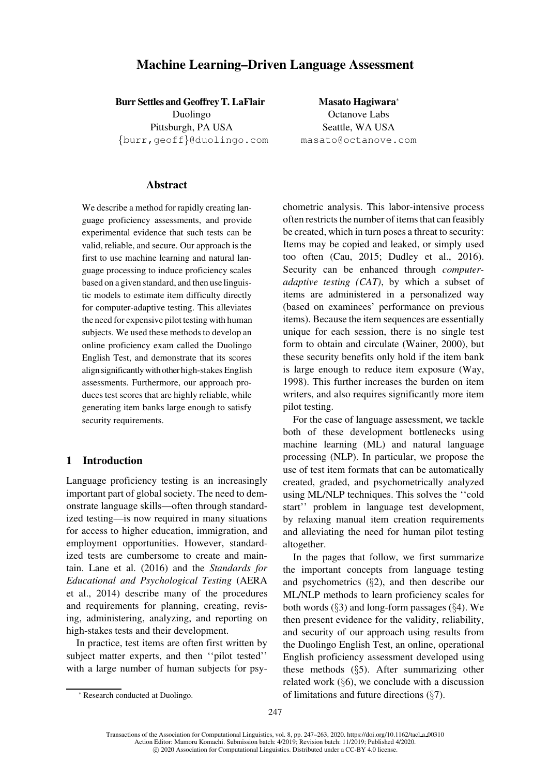# Machine Learning–Driven Language Assessment

Burr Settles and Geoffrey T. LaFlair Duolingo Pittsburgh, PA USA {burr,geoff}@duolingo.com

Masato Hagiwara<sup>∗</sup> Octanove Labs Seattle, WA USA masato@octanove.com

# Abstract

We describe a method for rapidly creating language proficiency assessments, and provide experimental evidence that such tests can be valid, reliable, and secure. Our approach is the first to use machine learning and natural language processing to induce proficiency scales based on a given standard, and then use linguistic models to estimate item difficulty directly for computer-adaptive testing. This alleviates the need for expensive pilot testing with human subjects. We used these methods to develop an online proficiency exam called the Duolingo English Test, and demonstrate that its scores align significantly with other high-stakes English assessments. Furthermore, our approach produces test scores that are highly reliable, while generating item banks large enough to satisfy security requirements.

# 1 Introduction

Language proficiency testing is an increasingly important part of global society. The need to demonstrate language skills—often through standardized testing—is now required in many situations for access to higher education, immigration, and employment opportunities. However, standardized tests are cumbersome to create and maintain. [Lane et al.](#page-13-0) [\(2016\)](#page-13-0) and the *Standards for Educ[ational and Psychological Testing](#page-12-0)* (AERA et al., [2014\)](#page-12-0) describe many of the procedures and requirements for planning, creating, revising, administering, analyzing, and reporting on high-stakes tests and their development.

In practice, test items are often first written by subject matter experts, and then ''pilot tested'' with a large number of human subjects for psy-

chometric analysis. This labor-intensive process often restricts the number of items that can feasibly be created, which in turn poses a threat to security: Items may be copied and leaked, or simply used too often [\(Cau, 2015;](#page-12-1) [Dudley et al.](#page-13-1), [2016](#page-13-1)). Security can be enhanced through *computeradaptive testing (CAT)*, by which a subset of items are administered in a personalized way (based on examinees' performance on previous items). Because the item sequences are essentially unique for each session, there is no single test form to obtain and circulate [\(Wainer](#page-15-0), [2000](#page-15-0)), but these security benefits only hold if the item bank is large enough to reduce item exposure [\(Way,](#page-15-1) [1998](#page-15-1)). This further increases the burden on item writers, and also requires significantly more item pilot testing.

For the case of language assessment, we tackle both of these development bottlenecks using machine learning (ML) and natural language processing (NLP). In particular, we propose the use of test item formats that can be automatically created, graded, and psychometrically analyzed using ML/NLP techniques. This solves the ''cold start'' problem in language test development, by relaxing manual item creation requirements and alleviating the need for human pilot testing altogether.

In the pages that follow, we first summarize the important concepts from language testing and psychometrics (§[2\)](#page-1-0), and then describe our ML/NLP methods to learn proficiency scales for both words  $(\S$ [3\)](#page-3-0) and long-form passages  $(\S$ [4\)](#page-5-0). We then present evidence for the validity, reliability, and security of our approach using results from the Duolingo English Test, an online, operational English proficiency assessment developed using these methods (§[5\)](#page-8-0). After summarizing other related work  $(\S6)$  $(\S6)$ , we conclude with a discussion of limitations and future directions (§[7\)](#page-11-0).

<sup>∗</sup> Research conducted at Duolingo.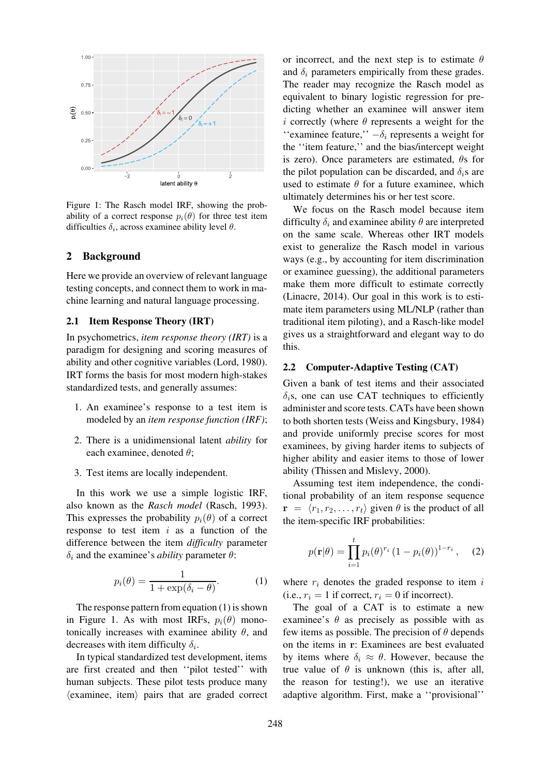

<span id="page-1-2"></span>Figure 1: The Rasch model IRF, showing the probability of a correct response  $p_i(\theta)$  for three test item difficulties  $\delta_i$ , across examinee ability level  $\theta$ .

# <span id="page-1-0"></span>2 Background

Here we provide an overview of relevant language testing concepts, and connect them to work in machine learning and natural language processing.

# 2.1 Item Response Theory (IRT)

In psychometrics, *item response theory (IRT)* is a paradigm for designing and scoring measures of ability and other cognitive variables [\(Lord, 1980\)](#page-13-2). IRT forms the basis for most modern high-stakes standardized tests, and generally assumes:

- 1. An examinee's response to a test item is modeled by an *item response function (IRF)*;
- 2. There is a unidimensional latent *ability* for each examinee, denoted  $\theta$ ;
- 3. Test items are locally independent.

In this work we use a simple logistic IRF, also known as the *Rasch model* [\(Rasch, 1993\)](#page-14-0). This expresses the probability  $p_i(\theta)$  of a correct response to test item  $i$  as a function of the difference between the item *difficulty* parameter  $\delta_i$  and the examinee's *ability* parameter  $\theta$ :

<span id="page-1-1"></span>
$$
p_i(\theta) = \frac{1}{1 + \exp(\delta_i - \theta)}.
$$
 (1)

The response pattern from equation [\(1\)](#page-1-1) is shown in [Figure 1.](#page-1-2) As with most IRFs,  $p_i(\theta)$  monotonically increases with examinee ability  $\theta$ , and decreases with item difficulty  $\delta_i$ .

In typical standardized test development, items are first created and then ''pilot tested'' with human subjects. These pilot tests produce many  $\langle$  examinee, item $\rangle$  pairs that are graded correct

or incorrect, and the next step is to estimate  $\theta$ and  $\delta_i$  parameters empirically from these grades. The reader may recognize the Rasch model as equivalent to binary logistic regression for predicting whether an examinee will answer item i correctly (where  $\theta$  represents a weight for the "examinee feature,"  $-\delta_i$  represents a weight for the ''item feature,'' and the bias/intercept weight is zero). Once parameters are estimated,  $\theta$ s for the pilot population can be discarded, and  $\delta_i$ s are used to estimate  $\theta$  for a future examinee, which ultimately determines his or her test score.

We focus on the Rasch model because item difficulty  $\delta_i$  and examinee ability  $\theta$  are interpreted on the same scale. Whereas other IRT models exist to generalize the Rasch model in various ways (e.g., by accounting for item discrimination or examinee guessing), the additional parameters make them more difficult to estimate correctly [\(Linacre, 2014\)](#page-13-3). Our goal in this work is to estimate item parameters using ML/NLP (rather than traditional item piloting), and a Rasch-like model gives us a straightforward and elegant way to do this.

# <span id="page-1-3"></span>2.2 Computer-Adaptive Testing (CAT)

Given a bank of test items and their associated  $\delta_i$ s, one can use CAT techniques to efficiently administer and score tests. CATs have been shown to both shorten tests [\(Weiss and Kingsbury, 1984](#page-15-2)) and provide uniformly precise scores for most examinees, by giving harder items to subjects of higher ability and easier items to those of lower ability [\(Thissen and Mislevy](#page-14-1), [2000](#page-14-1)).

Assuming test item independence, the conditional probability of an item response sequence  $\mathbf{r} = \langle r_1, r_2, \dots, r_t \rangle$  given  $\theta$  is the product of all the item-specific IRF probabilities:

<span id="page-1-4"></span>
$$
p(\mathbf{r}|\theta) = \prod_{i=1}^{t} p_i(\theta)^{r_i} (1 - p_i(\theta))^{1 - r_i}, \quad (2)
$$

where  $r_i$  denotes the graded response to item i (i.e.,  $r_i = 1$  if correct,  $r_i = 0$  if incorrect).

The goal of a CAT is to estimate a new examinee's  $\theta$  as precisely as possible with as few items as possible. The precision of  $\theta$  depends on the items in r: Examinees are best evaluated by items where  $\delta_i \approx \theta$ . However, because the true value of  $\theta$  is unknown (this is, after all, the reason for testing!), we use an iterative adaptive algorithm. First, make a ''provisional''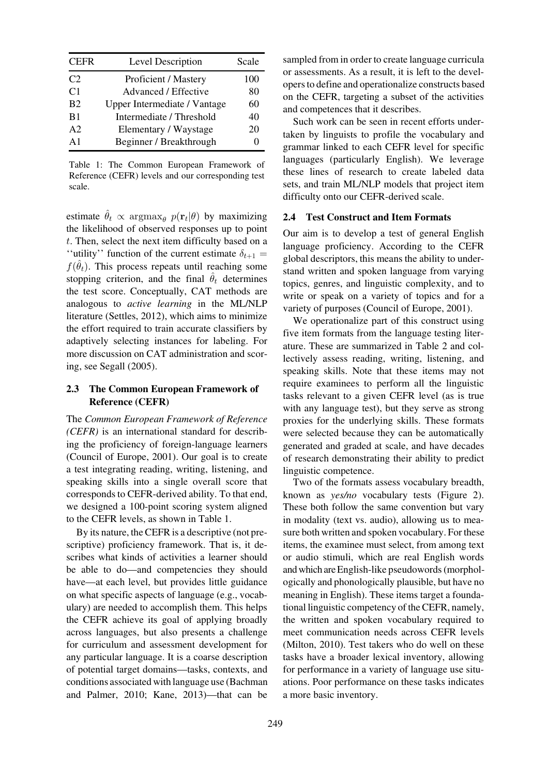| <b>CEFR</b>    | Level Description            | Scale |
|----------------|------------------------------|-------|
| C <sub>2</sub> | Proficient / Mastery         | 100   |
| C <sub>1</sub> | Advanced / Effective         | 80    |
| B <sub>2</sub> | Upper Intermediate / Vantage | 60    |
| B <sub>1</sub> | Intermediate / Threshold     | 40    |
| A <sub>2</sub> | Elementary / Waystage        | 20    |
| $\mathbf{A}$ 1 | Beginner / Breakthrough      |       |

<span id="page-2-0"></span>Table 1: The Common European Framework of Reference (CEFR) levels and our corresponding test scale.

estimate  $\hat{\theta}_t \propto \argmax_{\theta} p(\mathbf{r}_t | \theta)$  by maximizing the likelihood of observed responses up to point t. Then, select the next item difficulty based on a "utility" function of the current estimate  $\delta_{t+1}$  =  $f(\hat{\theta}_t)$ . This process repeats until reaching some stopping criterion, and the final  $\hat{\theta}_t$  determines the test score. Conceptually, CAT methods are analogous to *active learning* in the ML/NLP literature [\(Settles](#page-14-2), [2012](#page-14-2)), which aims to minimize the effort required to train accurate classifiers by adaptively selecting instances for labeling. For more discussion on CAT administration and scoring, see [Segall \(2005](#page-14-3)).

# 2.3 The Common European Framework of Reference (CEFR)

The *Common European Framework of Reference (CEFR)* is an international standard for describing the proficiency of foreign-language learners [\(Council of Europe](#page-12-2), [2001](#page-12-2)). Our goal is to create a test integrating reading, writing, listening, and speaking skills into a single overall score that corresponds to CEFR-derived ability. To that end, we designed a 100-point scoring system aligned to the CEFR levels, as shown in [Table 1.](#page-2-0)

By its nature, the CEFR is a descriptive (not prescriptive) proficiency framework. That is, it describes what kinds of activities a learner should be able to do—and competencies they should have—at each level, but provides little guidance on what specific aspects of language (e.g., vocabulary) are needed to accomplish them. This helps the CEFR achieve its goal of applying broadly across languages, but also presents a challenge for curriculum and assessment development for any particular language. It is a coarse description of potential target domains—tasks, contexts, and conditions a[ssociated with language use \(](#page-12-3)Bachman and Palmer, [2010;](#page-12-3) [Kane](#page-13-4), [2013\)](#page-13-4)—that can be sampled from in order to create language curricula or assessments. As a result, it is left to the developers to define and operationalize constructs based on the CEFR, targeting a subset of the activities and competences that it describes.

Such work can be seen in recent efforts undertaken by linguists to profile the vocabulary and grammar linked to each CEFR level for specific languages (particularly English). We leverage these lines of research to create labeled data sets, and train ML/NLP models that project item difficulty onto our CEFR-derived scale.

### <span id="page-2-1"></span>2.4 Test Construct and Item Formats

Our aim is to develop a test of general English language proficiency. According to the CEFR global descriptors, this means the ability to understand written and spoken language from varying topics, genres, and linguistic complexity, and to write or speak on a variety of topics and for a variety of purposes [\(Council of Europe](#page-12-2), [2001\)](#page-12-2).

We operationalize part of this construct using five item formats from the language testing literature. These are summarized in [Table 2](#page-3-1) and collectively assess reading, writing, listening, and speaking skills. Note that these items may not require examinees to perform all the linguistic tasks relevant to a given CEFR level (as is true with any language test), but they serve as strong proxies for the underlying skills. These formats were selected because they can be automatically generated and graded at scale, and have decades of research demonstrating their ability to predict linguistic competence.

Two of the formats assess vocabulary breadth, known as *yes/no* vocabulary tests [\(Figure 2\)](#page-3-2). These both follow the same convention but vary in modality (text vs. audio), allowing us to measure both written and spoken vocabulary. For these items, the examinee must select, from among text or audio stimuli, which are real English words and which are English-like pseudowords (morphologically and phonologically plausible, but have no meaning in English). These items target a foundational linguistic competency of the CEFR, namely, the written and spoken vocabulary required to meet communication needs across CEFR levels [\(Milton, 2010](#page-14-4)). Test takers who do well on these tasks have a broader lexical inventory, allowing for performance in a variety of language use situations. Poor performance on these tasks indicates a more basic inventory.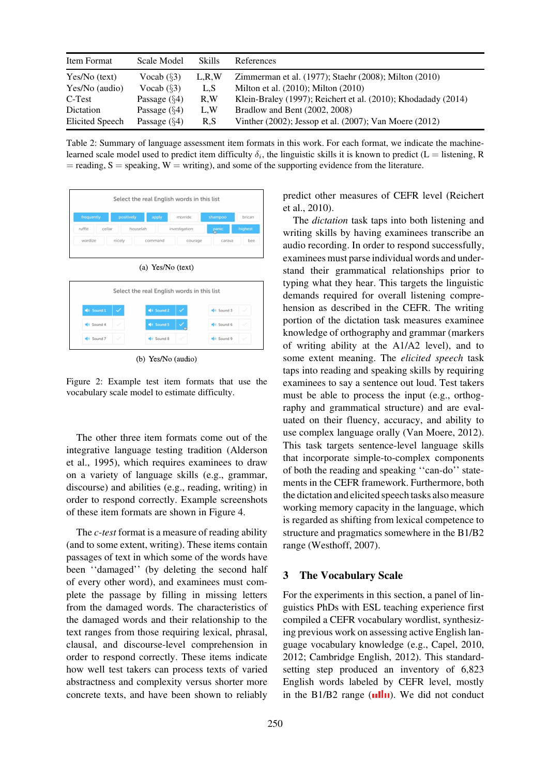| Item Format     | Scale Model     | <b>Skills</b> | References                                                    |
|-----------------|-----------------|---------------|---------------------------------------------------------------|
| $Yes/No$ (text) | Vocab $(\S3)$   | L.R.W         | Zimmerman et al. (1977); Staehr (2008); Milton (2010)         |
| Yes/No (audio)  | Vocab $(\S3)$   | L,S           | Milton et al. $(2010)$ ; Milton $(2010)$                      |
| C-Test          | Passage $(\S4)$ | R.W           | Klein-Braley (1997); Reichert et al. (2010); Khodadady (2014) |
| Dictation       | Passage $(\S4)$ | L,W           | Bradlow and Bent (2002, 2008)                                 |
| Elicited Speech | Passage $(\S4)$ | R.S           | Vinther (2002); Jessop et al. (2007); Van Moere (2012)        |

<span id="page-3-1"></span>Table 2: Summary of language assessment item formats in this work. For each format, we indicate the machinelearned scale model used to predict item difficulty  $\delta_i$ , the linguistic skills it is known to predict (L = listening, R  $=$  reading,  $S =$  speaking,  $W =$  writing), and some of the supporting evidence from the literature.





<span id="page-3-2"></span>(b) Yes/No (audio)

Figure 2: Example test item formats that use the vocabulary scale model to estimate difficulty.

The other three item formats come out of the integ[rative language testing tradition \(](#page-12-6)Alderson et al., [1995\)](#page-12-6), which requires examinees to draw on a variety of language skills (e.g., grammar, discourse) and abilities (e.g., reading, writing) in order to respond correctly. Example screenshots of these item formats are shown in [Figure 4.](#page-5-1)

The *c-test* format is a measure of reading ability (and to some extent, writing). These items contain passages of text in which some of the words have been ''damaged'' (by deleting the second half of every other word), and examinees must complete the passage by filling in missing letters from the damaged words. The characteristics of the damaged words and their relationship to the text ranges from those requiring lexical, phrasal, clausal, and discourse-level comprehension in order to respond correctly. These items indicate how well test takers can process texts of varied abstractness and complexity versus shorter more concrete texts, and have been shown to reliably

pred[ict other measures of CEFR level \(](#page-14-7)Reichert et al., [2010](#page-14-7)).

The *dictation* task taps into both listening and writing skills by having examinees transcribe an audio recording. In order to respond successfully, examinees must parse individual words and understand their grammatical relationships prior to typing what they hear. This targets the linguistic demands required for overall listening comprehension as described in the CEFR. The writing portion of the dictation task measures examinee knowledge of orthography and grammar (markers of writing ability at the A1/A2 level), and to some extent meaning. The *elicited speech* task taps into reading and speaking skills by requiring examinees to say a sentence out loud. Test takers must be able to process the input (e.g., orthography and grammatical structure) and are evaluated on their fluency, accuracy, and ability to use complex language orally [\(Van Moere](#page-15-5), [2012](#page-15-5)). This task targets sentence-level language skills that incorporate simple-to-complex components of both the reading and speaking ''can-do'' statements in the CEFR framework. Furthermore, both the dictation and elicited speech tasks also measure working memory capacity in the language, which is regarded as shifting from lexical competence to structure and pragmatics somewhere in the B1/B2 range [\(Westhoff](#page-15-6), [2007\)](#page-15-6).

# <span id="page-3-0"></span>3 The Vocabulary Scale

For the experiments in this section, a panel of linguistics PhDs with ESL teaching experience first compiled a CEFR vocabulary wordlist, synthesizing previous work on assessing active English language vocabulary knowledge (e.g., [Capel](#page-12-7), [2010,](#page-12-7) [2012](#page-12-8); [Cambridge English](#page-12-9), [2012](#page-12-9)). This standardsetting step produced an inventory of 6,823 English words labeled by CEFR level, mostly in the B1/B2 range  $($ ullu). We did not conduct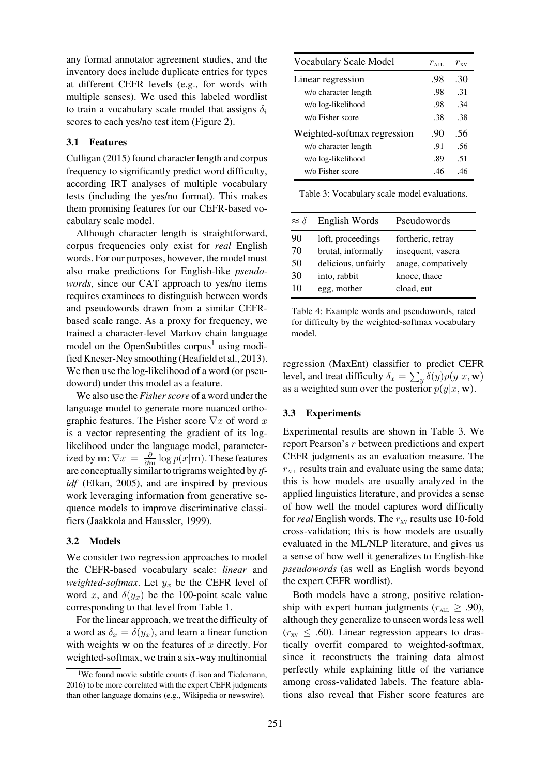any formal annotator agreement studies, and the inventory does include duplicate entries for types at different CEFR levels (e.g., for words with multiple senses). We used this labeled wordlist to train a vocabulary scale model that assigns  $\delta_i$ scores to each yes/no test item [\(Figure 2\)](#page-3-2).

# 3.1 Features

Culligan [\(2015\)](#page-12-10) found character length and corpus frequency to significantly predict word difficulty, according IRT analyses of multiple vocabulary tests (including the yes/no format). This makes them promising features for our CEFR-based vocabulary scale model.

Although character length is straightforward, corpus frequencies only exist for *real* English words. For our purposes, however, the model must also make predictions for English-like *pseudowords*, since our CAT approach to yes/no items requires examinees to distinguish between words and pseudowords drawn from a similar CEFRbased scale range. As a proxy for frequency, we trained a character-level Markov chain language model on the OpenSubtitles corpus<sup>[1](#page-4-0)</sup> using modified Kneser-Ney smoothing [\(Heafield et al., 2013](#page-13-8)). We then use the log-likelihood of a word (or pseudoword) under this model as a feature.

We also use the *Fisher score* of a word under the language model to generate more nuanced orthographic features. The Fisher score  $\nabla x$  of word x is a vector representing the gradient of its loglikelihood under the language model, parameterized by  $\mathbf{m} \mathpunct{:} \nabla x \ = \ \frac{\partial}{\partial \mathbf{m}} \log p(x|\mathbf{m}).$  These features are conceptually similar to trigrams weighted by *tfidf* [\(Elkan](#page-13-9), [2005](#page-13-9)), and are inspired by previous work leveraging information from generative sequence models to improve discriminative classifiers [\(Jaakkola and Haussler](#page-13-10), [1999\)](#page-13-10).

# 3.2 Models

We consider two regression approaches to model the CEFR-based vocabulary scale: *linear* and *weighted-softmax*. Let  $y_x$  be the CEFR level of word x, and  $\delta(y_x)$  be the 100-point scale value corresponding to that level from [Table 1.](#page-2-0)

For the linear approach, we treat the difficulty of a word as  $\delta_x = \delta(y_x)$ , and learn a linear function with weights  $w$  on the features of  $x$  directly. For weighted-softmax, we train a six-way multinomial

| Vocabulary Scale Model      | $r_{\rm att}$ | $r_{\rm vv}$ |
|-----------------------------|---------------|--------------|
| Linear regression           | .98           | .30          |
| w/o character length        | .98           | $\cdot$ 31   |
| w/o log-likelihood          | .98           | 34           |
| w/o Fisher score            | .38           | .38          |
| Weighted-softmax regression | -90           | .56          |
| w/o character length        | .91           | .56          |
| w/o log-likelihood          | .89           | .51          |
| w/o Fisher score            | .46           | -46          |

<span id="page-4-1"></span>Table 3: Vocabulary scale model evaluations.

| $\approx \delta$ | English Words       | Pseudowords        |
|------------------|---------------------|--------------------|
| 90               | loft, proceedings   | fortheric, retray  |
| 70               | brutal, informally  | insequent, vasera  |
| 50               | delicious, unfairly | anage, compatively |
| 30               | into, rabbit        | knoce, thace       |
| 10               | egg, mother         | cload, eut         |

<span id="page-4-2"></span>Table 4: Example words and pseudowords, rated for difficulty by the weighted-softmax vocabulary model.

regression (MaxEnt) classifier to predict CEFR level, and treat difficulty  $\delta_x = \sum_y \delta(y) p(y|x, \mathbf{w})$ as a weighted sum over the posterior  $p(y|x, \mathbf{w})$ .

# 3.3 Experiments

Experimental results are shown in [Table 3.](#page-4-1) We report Pearson's r between predictions and expert CEFR judgments as an evaluation measure. The  $r_{\text{AL}}$  results train and evaluate using the same data; this is how models are usually analyzed in the applied linguistics literature, and provides a sense of how well the model captures word difficulty for *real* English words. The  $r_{xy}$  results use 10-fold cross-validation; this is how models are usually evaluated in the ML/NLP literature, and gives us a sense of how well it generalizes to English-like *pseudowords* (as well as English words beyond the expert CEFR wordlist).

Both models have a strong, positive relationship with expert human judgments ( $r_{\text{ALL}} \ge .90$ ), although they generalize to unseen words less well  $(r_{xy} \leq .60)$ . Linear regression appears to drastically overfit compared to weighted-softmax, since it reconstructs the training data almost perfectly while explaining little of the variance among cross-validated labels. The feature ablations also reveal that Fisher score features are

<span id="page-4-0"></span><sup>&</sup>lt;sup>1</sup>We found movie subtitle counts [\(Lison and Tiedemann,](#page-13-11) [2016\)](#page-13-11) to be more correlated with the expert CEFR judgments than other language domains (e.g., Wikipedia or newswire).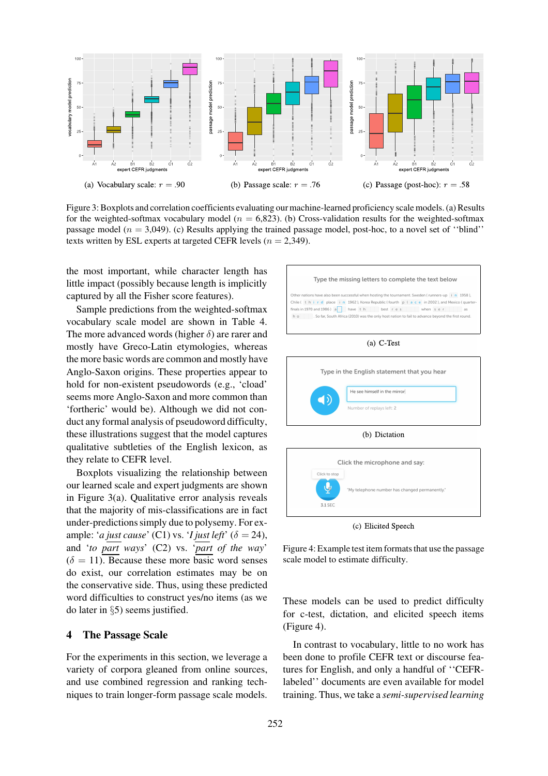

<span id="page-5-2"></span>Figure 3: Boxplots and correlation coefficients evaluating our machine-learned proficiency scale models. (a) Results for the weighted-softmax vocabulary model ( $n = 6,823$ ). (b) Cross-validation results for the weighted-softmax passage model  $(n = 3,049)$ . (c) Results applying the trained passage model, post-hoc, to a novel set of "blind" texts written by ESL experts at targeted CEFR levels ( $n = 2,349$ ).

the most important, while character length has little impact (possibly because length is implicitly captured by all the Fisher score features).

Sample predictions from the weighted-softmax vocabulary scale model are shown in [Table 4.](#page-4-2) The more advanced words (higher  $\delta$ ) are rarer and mostly have Greco-Latin etymologies, whereas the more basic words are common and mostly have Anglo-Saxon origins. These properties appear to hold for non-existent pseudowords (e.g., 'cload' seems more Anglo-Saxon and more common than 'fortheric' would be). Although we did not conduct any formal analysis of pseudoword difficulty, these illustrations suggest that the model captures qualitative subtleties of the English lexicon, as they relate to CEFR level.

Boxplots visualizing the relationship between our learned scale and expert judgments are shown in [Figure 3\(a\).](#page-5-2) Qualitative error analysis reveals that the majority of mis-classifications are in fact under-predictions simply due to polysemy. For example: '*a just cause*' (C1) vs. '*I just left*' ( $\delta$  = 24), and '*to part ways*' (C2) vs. '*part of the way*'  $(\delta = 11)$ . Because these more basic word senses do exist, our correlation estimates may be on the conservative side. Thus, using these predicted word difficulties to construct yes/no items (as we do later in §[5\)](#page-8-0) seems justified.

# <span id="page-5-0"></span>4 The Passage Scale

For the experiments in this section, we leverage a variety of corpora gleaned from online sources, and use combined regression and ranking techniques to train longer-form passage scale models.



#### (b) Dictation



(c) Elicited Speech

<span id="page-5-1"></span>Figure 4: Example test item formats that use the passage scale model to estimate difficulty.

These models can be used to predict difficulty for c-test, dictation, and elicited speech items [\(Figure 4\)](#page-5-1).

In contrast to vocabulary, little to no work has been done to profile CEFR text or discourse features for English, and only a handful of ''CEFRlabeled'' documents are even available for model training. Thus, we take a *semi-supervised learning*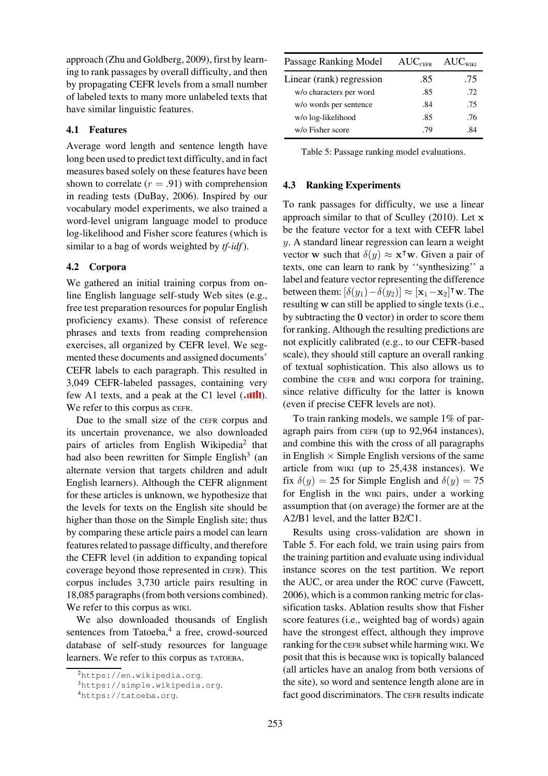approach [\(Zhu and Goldberg](#page-15-7), [2009\)](#page-15-7), first by learning to rank passages by overall difficulty, and then by propagating CEFR levels from a small number of labeled texts to many more unlabeled texts that have similar linguistic features.

# 4.1 Features

Average word length and sentence length have long been used to predict text difficulty, and in fact measures based solely on these features have been shown to correlate  $(r = .91)$  with comprehension in reading tests [\(DuBay, 2006\)](#page-13-12). Inspired by our vocabulary model experiments, we also trained a word-level unigram language model to produce log-likelihood and Fisher score features (which is similar to a bag of words weighted by *tf-idf*).

# 4.2 Corpora

We gathered an initial training corpus from online English language self-study Web sites (e.g., free test preparation resources for popular English proficiency exams). These consist of reference phrases and texts from reading comprehension exercises, all organized by CEFR level. We segmented these documents and assigned documents' CEFR labels to each paragraph. This resulted in 3,049 CEFR-labeled passages, containing very few A1 texts, and a peak at the C1 level  $($ . We refer to this corpus as CEFR.

Due to the small size of the CEFR corpus and its uncertain provenance, we also downloaded pairs of articles from English Wikipedia<sup>[2](#page-6-0)</sup> that had also been rewritten for Simple English<sup>[3](#page-6-1)</sup> (an alternate version that targets children and adult English learners). Although the CEFR alignment for these articles is unknown, we hypothesize that the levels for texts on the English site should be higher than those on the Simple English site; thus by comparing these article pairs a model can learn features related to passage difficulty, and therefore the CEFR level (in addition to expanding topical coverage beyond those represented in CEFR). This corpus includes 3,730 article pairs resulting in 18,085 paragraphs (from both versions combined). We refer to this corpus as WIKI.

We also downloaded thousands of English sentences from Tatoeba,<sup>[4](#page-6-2)</sup> a free, crowd-sourced database of self-study resources for language learners. We refer to this corpus as TATOEBA.

| Passage Ranking Model    | $AUC_{CFER}$ | $\mathrm{AUC}_{\mathrm{wnrr}}$ |
|--------------------------|--------------|--------------------------------|
| Linear (rank) regression | .85          | .75                            |
| w/o characters per word  | .85          | .72                            |
| w/o words per sentence   | .84          | .75                            |
| w/o log-likelihood       | .85          | .76                            |
| w/o Fisher score         | .79          | .84                            |

<span id="page-6-3"></span>Table 5: Passage ranking model evaluations.

# <span id="page-6-4"></span>4.3 Ranking Experiments

To rank passages for difficulty, we use a linear approach similar to that of [Sculley \(2010](#page-14-8)). Let x be the feature vector for a text with CEFR label y. A standard linear regression can learn a weight vector w such that  $\delta(y) \approx \mathbf{x}^\intercal \mathbf{w}$ . Given a pair of texts, one can learn to rank by ''synthesizing'' a label and feature vector representing the difference between them:  $[\delta(y_1) - \delta(y_2)] \approx [\mathbf{x}_1 - \mathbf{x}_2]^{\mathsf{T}} \mathbf{w}$ . The resulting w can still be applied to single texts (i.e., by subtracting the 0 vector) in order to score them for ranking. Although the resulting predictions are not explicitly calibrated (e.g., to our CEFR-based scale), they should still capture an overall ranking of textual sophistication. This also allows us to combine the CEFR and WIKI corpora for training, since relative difficulty for the latter is known (even if precise CEFR levels are not).

To train ranking models, we sample 1% of paragraph pairs from CEFR (up to 92,964 instances), and combine this with the cross of all paragraphs in English  $\times$  Simple English versions of the same article from WIKI (up to 25,438 instances). We fix  $\delta(y) = 25$  for Simple English and  $\delta(y) = 75$ for English in the WIKI pairs, under a working assumption that (on average) the former are at the A2/B1 level, and the latter B2/C1.

Results using cross-validation are shown in [Table 5.](#page-6-3) For each fold, we train using pairs from the training partition and evaluate using individual instance scores on the test partition. We report the AUC, or area under the ROC curve [\(Fawcett,](#page-13-13) [2006](#page-13-13)), which is a common ranking metric for classification tasks. Ablation results show that Fisher score features (i.e., weighted bag of words) again have the strongest effect, although they improve ranking for the CEFR subset while harming WIKI. We posit that this is because WIKI is topically balanced (all articles have an analog from both versions of the site), so word and sentence length alone are in fact good discriminators. The CEFR results indicate

<sup>2</sup><https://en.wikipedia.org>.

<span id="page-6-0"></span><sup>3</sup><https://simple.wikipedia.org>.

<span id="page-6-2"></span><span id="page-6-1"></span><sup>4</sup><https://tatoeba.org>.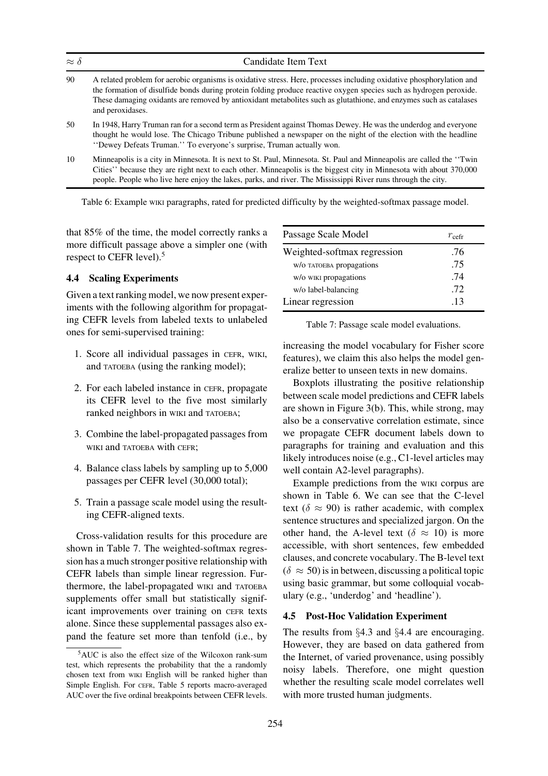| $\approx \delta$ | Candidate Item Text                                                                                                                                                                                                                                                                                                                                                                 |
|------------------|-------------------------------------------------------------------------------------------------------------------------------------------------------------------------------------------------------------------------------------------------------------------------------------------------------------------------------------------------------------------------------------|
| 90               | A related problem for aerobic organisms is oxidative stress. Here, processes including oxidative phosphorylation and<br>the formation of disulfide bonds during protein folding produce reactive oxygen species such as hydrogen peroxide.<br>These damaging oxidants are removed by antioxidant metabolites such as glutathione, and enzymes such as catalases<br>and peroxidases. |
| 50               | In 1948, Harry Truman ran for a second term as President against Thomas Dewey. He was the underdog and everyone<br>thought he would lose. The Chicago Tribune published a newspaper on the night of the election with the headline<br>"Dewey Defeats Truman." To everyone's surprise, Truman actually won.                                                                          |
| 10               | Minneapolis is a city in Minnesota. It is next to St. Paul, Minnesota. St. Paul and Minneapolis are called the "Twin<br>Cities'' because they are right next to each other. Minneapolis is the biggest city in Minnesota with about 370,000<br>people. People who live here enjoy the lakes, parks, and river. The Mississippi River runs through the city.                         |

<span id="page-7-2"></span>Table 6: Example WIKI paragraphs, rated for predicted difficulty by the weighted-softmax passage model.

that 85% of the time, the model correctly ranks a more difficult passage above a simpler one (with respect to CEFR level).[5](#page-7-0)

# <span id="page-7-3"></span>4.4 Scaling Experiments

Given a text ranking model, we now present experiments with the following algorithm for propagating CEFR levels from labeled texts to unlabeled ones for semi-supervised training:

- 1. Score all individual passages in CEFR, WIKI, and TATOEBA (using the ranking model);
- 2. For each labeled instance in CEFR, propagate its CEFR level to the five most similarly ranked neighbors in WIKI and TATOEBA;
- 3. Combine the label-propagated passages from WIKI and TATOEBA with CEFR;
- 4. Balance class labels by sampling up to 5,000 passages per CEFR level (30,000 total);
- 5. Train a passage scale model using the resulting CEFR-aligned texts.

Cross-validation results for this procedure are shown in [Table 7.](#page-7-1) The weighted-softmax regression has a much stronger positive relationship with CEFR labels than simple linear regression. Furthermore, the label-propagated WIKI and TATOEBA supplements offer small but statistically significant improvements over training on CEFR texts alone. Since these supplemental passages also expand the feature set more than tenfold (i.e., by

| Passage Scale Model         | $r_{\rm ceff}$ |
|-----------------------------|----------------|
| Weighted-softmax regression | .76            |
| W/O TATOEBA propagations    | .75            |
| w/o wiki propagations       | .74            |
| w/o label-balancing         | .72            |
| Linear regression           | .13            |

<span id="page-7-1"></span>Table 7: Passage scale model evaluations.

increasing the model vocabulary for Fisher score features), we claim this also helps the model generalize better to unseen texts in new domains.

Boxplots illustrating the positive relationship between scale model predictions and CEFR labels are shown in [Figure 3\(b\).](#page-5-2) This, while strong, may also be a conservative correlation estimate, since we propagate CEFR document labels down to paragraphs for training and evaluation and this likely introduces noise (e.g., C1-level articles may well contain A2-level paragraphs).

Example predictions from the WIKI corpus are shown in [Table 6.](#page-7-2) We can see that the C-level text ( $\delta \approx 90$ ) is rather academic, with complex sentence structures and specialized jargon. On the other hand, the A-level text ( $\delta \approx 10$ ) is more accessible, with short sentences, few embedded clauses, and concrete vocabulary. The B-level text  $(\delta \approx 50)$  is in between, discussing a political topic using basic grammar, but some colloquial vocabulary (e.g., 'underdog' and 'headline').

# <span id="page-7-4"></span>4.5 Post-Hoc Validation Experiment

The results from §[4.3](#page-6-4) and §[4.4](#page-7-3) are encouraging. However, they are based on data gathered from the Internet, of varied provenance, using possibly noisy labels. Therefore, one might question whether the resulting scale model correlates well with more trusted human judgments.

<span id="page-7-0"></span><sup>5</sup>AUC is also the effect size of the Wilcoxon rank-sum test, which represents the probability that the a randomly chosen text from WIKI English will be ranked higher than Simple English. For CEFR, [Table 5](#page-6-3) reports macro-averaged AUC over the five ordinal breakpoints between CEFR levels.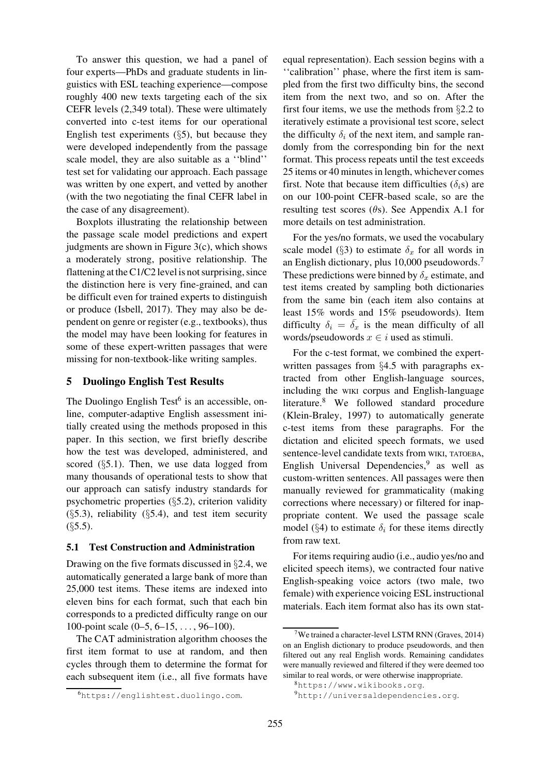To answer this question, we had a panel of four experts—PhDs and graduate students in linguistics with ESL teaching experience—compose roughly 400 new texts targeting each of the six CEFR levels (2,349 total). These were ultimately converted into c-test items for our operational English test experiments  $(\S5)$  $(\S5)$ , but because they were developed independently from the passage scale model, they are also suitable as a ''blind'' test set for validating our approach. Each passage was written by one expert, and vetted by another (with the two negotiating the final CEFR label in the case of any disagreement).

Boxplots illustrating the relationship between the passage scale model predictions and expert judgments are shown in [Figure 3\(c\),](#page-5-2) which shows a moderately strong, positive relationship. The flattening at the C1/C2 level is not surprising, since the distinction here is very fine-grained, and can be difficult even for trained experts to distinguish or produce [\(Isbell, 2017](#page-13-14)). They may also be dependent on genre or register (e.g., textbooks), thus the model may have been looking for features in some of these expert-written passages that were missing for non-textbook-like writing samples.

# <span id="page-8-0"></span>5 Duolingo English Test Results

The Duolingo English Test $<sup>6</sup>$  $<sup>6</sup>$  $<sup>6</sup>$  is an accessible, on-</sup> line, computer-adaptive English assessment initially created using the methods proposed in this paper. In this section, we first briefly describe how the test was developed, administered, and scored  $(\S 5.1)$  $(\S 5.1)$ . Then, we use data logged from many thousands of operational tests to show that our approach can satisfy industry standards for psychometric properties (§[5.2\)](#page-9-0), criterion validity  $(\S 5.3)$  $(\S 5.3)$ , reliability  $(\S 5.4)$  $(\S 5.4)$ , and test item security  $(§5.5).$  $(§5.5).$  $(§5.5).$ 

# <span id="page-8-2"></span>5.1 Test Construction and Administration

Drawing on the five formats discussed in §[2.4,](#page-2-1) we automatically generated a large bank of more than 25,000 test items. These items are indexed into eleven bins for each format, such that each bin corresponds to a predicted difficulty range on our 100-point scale (0–5, 6–15, . . . , 96–100).

The CAT administration algorithm chooses the first item format to use at random, and then cycles through them to determine the format for each subsequent item (i.e., all five formats have equal representation). Each session begins with a ''calibration'' phase, where the first item is sampled from the first two difficulty bins, the second item from the next two, and so on. After the first four items, we use the methods from §[2.2](#page-1-3) to iteratively estimate a provisional test score, select the difficulty  $\delta_i$  of the next item, and sample randomly from the corresponding bin for the next format. This process repeats until the test exceeds 25 items or 40 minutes in length, whichever comes first. Note that because item difficulties ( $\delta_i$ s) are on our 100-point CEFR-based scale, so are the resulting test scores  $(\theta s)$ . See Appendix [A.1](#page-15-8) for more details on test administration.

For the yes/no formats, we used the vocabulary scale model (§[3\)](#page-3-0) to estimate  $\delta_x$  for all words in an English dictionary, plus 10,000 pseudowords.[7](#page-8-3) These predictions were binned by  $\delta_x$  estimate, and test items created by sampling both dictionaries from the same bin (each item also contains at least 15% words and 15% pseudowords). Item difficulty  $\delta_i = \overline{\delta_x}$  is the mean difficulty of all words/pseudowords  $x \in i$  used as stimuli.

For the c-test format, we combined the expert-written passages from §[4.5](#page-7-4) with paragraphs extracted from other English-language sources, including the WIKI corpus and English-language literature.[8](#page-8-4) We followed standard procedure [\(Klein-Braley, 1997\)](#page-13-5) to automatically generate c-test items from these paragraphs. For the dictation and elicited speech formats, we used sentence-level candidate texts from WIKI, TATOEBA, English Universal Dependencies,<sup>[9](#page-8-5)</sup> as well as custom-written sentences. All passages were then manually reviewed for grammaticality (making corrections where necessary) or filtered for inappropriate content. We used the passage scale model (§[4\)](#page-5-0) to estimate  $\delta_i$  for these items directly from raw text.

For items requiring audio (i.e., audio yes/no and elicited speech items), we contracted four native English-speaking voice actors (two male, two female) with experience voicing ESL instructional materials. Each item format also has its own stat-

<span id="page-8-1"></span><sup>6</sup><https://englishtest.duolingo.com>.

<span id="page-8-3"></span><sup>&</sup>lt;sup>7</sup>We trained a character-level LSTM RNN [\(Graves](#page-13-15), [2014](#page-13-15)) on an English dictionary to produce pseudowords, and then filtered out any real English words. Remaining candidates were manually reviewed and filtered if they were deemed too similar to real words, or were otherwise inappropriate.

<sup>8</sup><https://www.wikibooks.org>.

<span id="page-8-5"></span><span id="page-8-4"></span><sup>9</sup><http://universaldependencies.org>.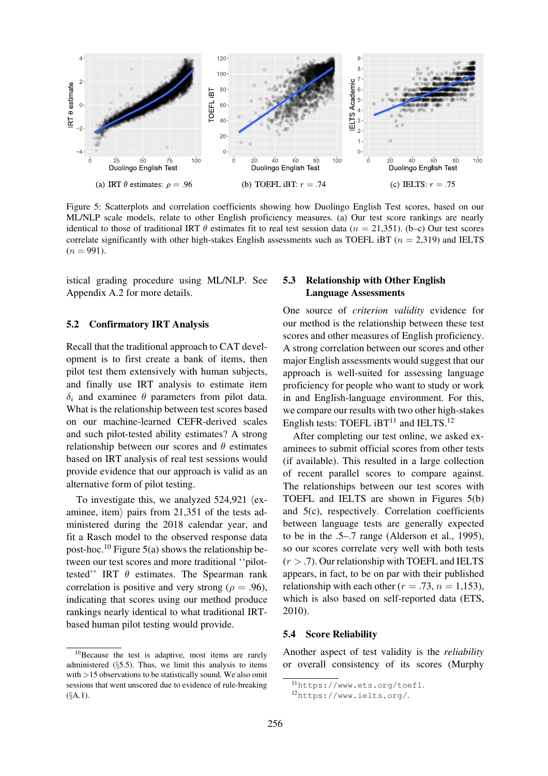

<span id="page-9-4"></span>Figure 5: Scatterplots and correlation coefficients showing how Duolingo English Test scores, based on our ML/NLP scale models, relate to other English proficiency measures. (a) Our test score rankings are nearly identical to those of traditional IRT  $\theta$  estimates fit to real test session data ( $n = 21,351$ ). (b–c) Our test scores correlate significantly with other high-stakes English assessments such as TOEFL iBT ( $n = 2.319$ ) and IELTS  $(n = 991)$ .

istical grading procedure using ML/NLP. See Appendix [A.2](#page-15-9) for more details.

### <span id="page-9-0"></span>5.2 Confirmatory IRT Analysis

Recall that the traditional approach to CAT development is to first create a bank of items, then pilot test them extensively with human subjects, and finally use IRT analysis to estimate item  $\delta_i$  and examinee  $\theta$  parameters from pilot data. What is the relationship between test scores based on our machine-learned CEFR-derived scales and such pilot-tested ability estimates? A strong relationship between our scores and  $\theta$  estimates based on IRT analysis of real test sessions would provide evidence that our approach is valid as an alternative form of pilot testing.

To investigate this, we analyzed  $524,921$  (examinee, item $\rangle$  pairs from 21,351 of the tests administered during the 2018 calendar year, and fit a Rasch model to the observed response data post-hoc.<sup>[10](#page-9-3)</sup> [Figure 5\(a\)](#page-9-4) shows the relationship between our test scores and more traditional ''pilottested'' IRT  $\theta$  estimates. The Spearman rank correlation is positive and very strong ( $\rho = .96$ ), indicating that scores using our method produce rankings nearly identical to what traditional IRTbased human pilot testing would provide.

# <span id="page-9-1"></span>5.3 Relationship with Other English Language Assessments

One source of *criterion validity* evidence for our method is the relationship between these test scores and other measures of English proficiency. A strong correlation between our scores and other major English assessments would suggest that our approach is well-suited for assessing language proficiency for people who want to study or work in and English-language environment. For this, we compare our results with two other high-stakes English tests: TOEFL  $iBT^{11}$  $iBT^{11}$  $iBT^{11}$  and IELTS.<sup>[12](#page-9-6)</sup>

After completing our test online, we asked examinees to submit official scores from other tests (if available). This resulted in a large collection of recent parallel scores to compare against. The relationships between our test scores with TOEFL and IELTS are shown in [Figures 5\(b\)](#page-9-4) and [5\(c\),](#page-9-4) respectively. Correlation coefficients between language tests are generally expected to be in the .5–.7 range [\(Alderson et al.](#page-12-6), [1995](#page-12-6)), so our scores correlate very well with both tests  $(r > .7)$ . Our relationship with TOEFL and IELTS appears, in fact, to be on par with their published relationship with each other ( $r = .73$ ,  $n = 1,153$ ), which is also based on self-reported data [\(ETS,](#page-13-16) [2010](#page-13-16)).

#### <span id="page-9-2"></span>5.4 Score Reliability

Another aspect of test validity is the *reliability* or overall consistency of its scores (Murphy

<span id="page-9-3"></span><sup>10</sup>Because the test is adaptive, most items are rarely administered  $(\S 5.5)$  $(\S 5.5)$ . Thus, we limit this analysis to items with >15 observations to be statistically sound. We also omit sessions that went unscored due to evidence of rule-breaking (§[A.1\)](#page-15-8).

<sup>11</sup><https://www.ets.org/toefl>.

<span id="page-9-6"></span><span id="page-9-5"></span><sup>12</sup><https://www.ielts.org/>.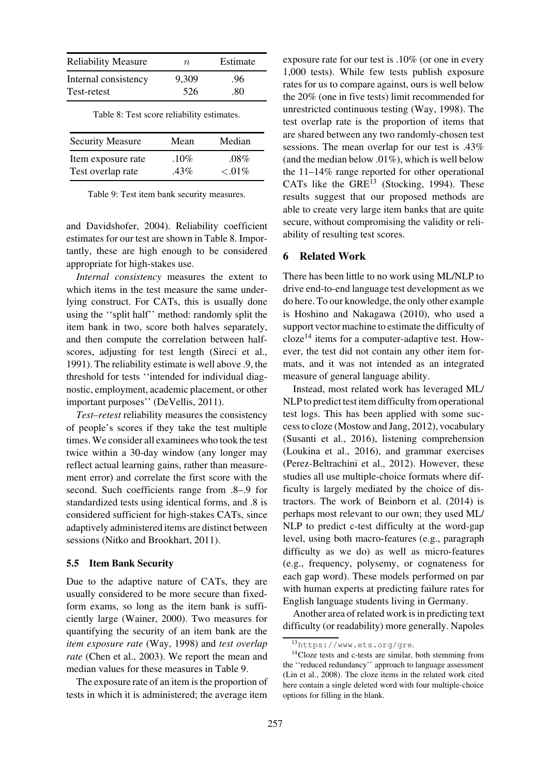| <b>Reliability Measure</b>          | $n_{\cdot}$  | Estimate   |
|-------------------------------------|--------------|------------|
| Internal consistency<br>Test-retest | 9.309<br>526 | .96<br>.80 |
|                                     |              |            |

<span id="page-10-2"></span>Table 8: Test score reliability estimates.

| <b>Security Measure</b> | Mean    | Median     |
|-------------------------|---------|------------|
| Item exposure rate      | $.10\%$ | $.08\%$    |
| Test overlap rate       | $.43\%$ | $< 0.01\%$ |

<span id="page-10-3"></span>Table 9: [Test](#page-14-9) item bank security measures.

and Davidshofer, [2004\)](#page-14-9). Reliability coefficient estimates for our test are shown in [Table 8.](#page-10-2) Importantly, these are high enough to be considered appropriate for high-stakes use.

*Internal consistency* measures the extent to which items in the test measure the same underlying construct. For CATs, this is usually done using the ''split half'' method: randomly split the item bank in two, score both halves separately, and then compute the correlation between halfscores, adjusting for test length [\(Sireci et al.,](#page-14-10) [1991](#page-14-10)). The reliability estimate is well above .9, the threshold for tests ''intended for individual diagnostic, employment, academic placement, or other important purposes'' [\(DeVellis](#page-13-17), [2011](#page-13-17)).

*Test–retest* reliability measures the consistency of people's scores if they take the test multiple times. We consider all examinees who took the test twice within a 30-day window (any longer may reflect actual learning gains, rather than measurement error) and correlate the first score with the second. Such coefficients range from .8–.9 for standardized tests using identical forms, and .8 is considered sufficient for high-stakes CATs, since adaptively administered items are distinct between sessions [\(Nitko and Brookhart, 2011](#page-14-11)).

#### <span id="page-10-1"></span>5.5 Item Bank Security

Due to the adaptive nature of CATs, they are usually considered to be more secure than fixedform exams, so long as the item bank is sufficiently large [\(Wainer, 2000](#page-15-0)). Two measures for quantifying the security of an item bank are the *item exposure rate* [\(Way](#page-15-1), [1998\)](#page-15-1) and *test overlap rate* [\(Chen et al., 2003](#page-12-11)). We report the mean and median values for these measures in [Table 9.](#page-10-3)

The exposure rate of an item is the proportion of tests in which it is administered; the average item

exposure rate for our test is .10% (or one in every 1,000 tests). While few tests publish exposure rates for us to compare against, ours is well below the 20% (one in five tests) limit recommended for unrestricted continuous testing [\(Way](#page-15-1), [1998\)](#page-15-1). The test overlap rate is the proportion of items that are shared between any two randomly-chosen test sessions. The mean overlap for our test is .43% (and the median below .01%), which is well below the 11–14% range reported for other operational CATs like the GRE<sup>[13](#page-10-4)</sup> [\(Stocking, 1994\)](#page-14-12). These results suggest that our proposed methods are able to create very large item banks that are quite secure, without compromising the validity or reliability of resulting test scores.

# <span id="page-10-0"></span>6 Related Work

There has been little to no work using ML/NLP to drive end-to-end language test development as we do here. To our knowledge, the only other example is [Hoshino and Nakagawa \(2010](#page-13-18)), who used a support vector machine to estimate the difficulty of  $c$ loze<sup>[14](#page-10-5)</sup> items for a computer-adaptive test. However, the test did not contain any other item formats, and it was not intended as an integrated measure of general language ability.

Instead, most related work has leveraged ML/ NLP to predict test item difficulty from operational test logs. This has been applied with some success to cloze [\(Mostow and Jang, 2012](#page-14-13)), vocabulary [\(Susanti et al., 2016](#page-14-14)), listening comprehension [\(Loukina et al., 2016](#page-14-15)), and grammar exercises [\(Perez-Beltrachini et al.](#page-14-16), [2012\)](#page-14-16). However, these studies all use multiple-choice formats where difficulty is largely mediated by the choice of distractors. The work of [Beinborn et al.](#page-12-12) [\(2014](#page-12-12)) is perhaps most relevant to our own; they used ML/ NLP to predict c-test difficulty at the word-gap level, using both macro-features (e.g., paragraph difficulty as we do) as well as micro-features (e.g., frequency, polysemy, or cognateness for each gap word). These models performed on par with human experts at predicting failure rates for English language students living in Germany.

Another area of related work is in predicting text difficulty (or readability) more generally. Napoles

<span id="page-10-4"></span><sup>13</sup><https://www.ets.org/gre>.

<span id="page-10-5"></span><sup>14</sup>Cloze tests and c-tests are similar, both stemming from the ''reduced redundancy'' approach to language assessment [\(Lin et al., 2008](#page-13-19)). The cloze items in the related work cited here contain a single deleted word with four multiple-choice options for filling in the blank.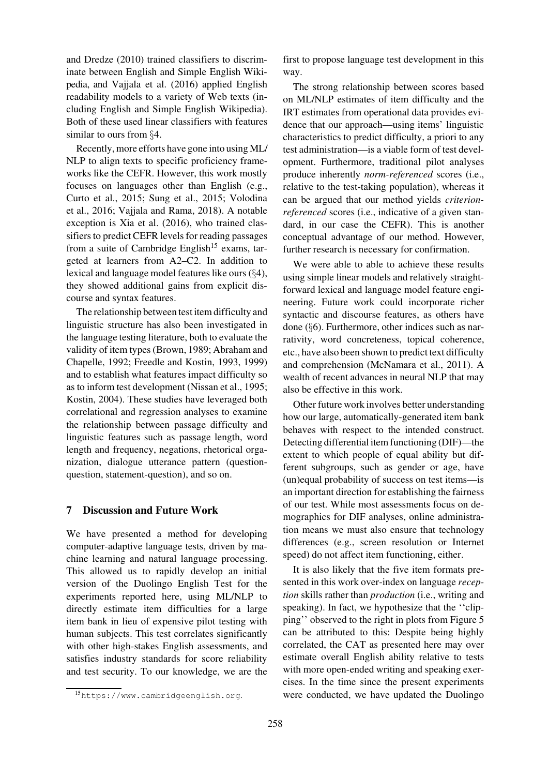and Dredze [\(2010\)](#page-14-17) trained classifiers to discriminate between English and Simple English Wikipedia, and [Vajjala et al. \(2016](#page-15-10)) applied English readability models to a variety of Web texts (including English and Simple English Wikipedia). Both of these used linear classifiers with features similar to ours from §[4.](#page-5-0)

Recently, more efforts have gone into using ML/ NLP to align texts to specific proficiency frameworks like the CEFR. However, this work mostly focuses on languages other than English (e.g., [Curto et al.](#page-12-13)[,](#page-15-11) [2015](#page-12-13)[;](#page-15-11) [Sung et al.](#page-14-18)[,](#page-15-11) [2015](#page-14-18)[;](#page-15-11) Volodina et al., [2016](#page-15-11); [Vajjala and Rama, 2018\)](#page-15-12). A notable exception is [Xia et al.](#page-15-13) [\(2016\)](#page-15-13), who trained classifiers to predict CEFR levels for reading passages from a suite of Cambridge English<sup>[15](#page-11-1)</sup> exams, targeted at learners from A2–C2. In addition to lexical and language model features like ours (§[4\)](#page-5-0), they showed additional gains from explicit discourse and syntax features.

The relationship between test item difficulty and linguistic structure has also been investigated in the language testing literature, both to evaluate the validity [of item types](#page-12-15) [\(Brown, 1989](#page-12-14)[;](#page-12-15) Abraham and Chapelle, [1992](#page-12-15); [Freedle and Kostin](#page-13-20), [1993,](#page-13-20) [1999\)](#page-13-21) and to establish what features impact difficulty so as to inform test development [\(Nissan et al.](#page-14-19), [1995](#page-14-19); [Kostin](#page-13-22), [2004](#page-13-22)). These studies have leveraged both correlational and regression analyses to examine the relationship between passage difficulty and linguistic features such as passage length, word length and frequency, negations, rhetorical organization, dialogue utterance pattern (questionquestion, statement-question), and so on.

# <span id="page-11-0"></span>7 Discussion and Future Work

We have presented a method for developing computer-adaptive language tests, driven by machine learning and natural language processing. This allowed us to rapidly develop an initial version of the Duolingo English Test for the experiments reported here, using ML/NLP to directly estimate item difficulties for a large item bank in lieu of expensive pilot testing with human subjects. This test correlates significantly with other high-stakes English assessments, and satisfies industry standards for score reliability and test security. To our knowledge, we are the first to propose language test development in this way.

The strong relationship between scores based on ML/NLP estimates of item difficulty and the IRT estimates from operational data provides evidence that our approach—using items' linguistic characteristics to predict difficulty, a priori to any test administration—is a viable form of test development. Furthermore, traditional pilot analyses produce inherently *norm-referenced* scores (i.e., relative to the test-taking population), whereas it can be argued that our method yields *criterionreferenced* scores (i.e., indicative of a given standard, in our case the CEFR). This is another conceptual advantage of our method. However, further research is necessary for confirmation.

We were able to able to achieve these results using simple linear models and relatively straightforward lexical and language model feature engineering. Future work could incorporate richer syntactic and discourse features, as others have done (§[6\)](#page-10-0). Furthermore, other indices such as narrativity, word concreteness, topical coherence, etc., have also been shown to predict text difficulty and comprehension [\(McNamara et al.](#page-14-20), [2011](#page-14-20)). A wealth of recent advances in neural NLP that may also be effective in this work.

Other future work involves better understanding how our large, automatically-generated item bank behaves with respect to the intended construct. Detecting differential item functioning (DIF)—the extent to which people of equal ability but different subgroups, such as gender or age, have (un)equal probability of success on test items—is an important direction for establishing the fairness of our test. While most assessments focus on demographics for DIF analyses, online administration means we must also ensure that technology differences (e.g., screen resolution or Internet speed) do not affect item functioning, either.

It is also likely that the five item formats presented in this work over-index on language *reception* skills rather than *production* (i.e., writing and speaking). In fact, we hypothesize that the ''clipping'' observed to the right in plots from [Figure 5](#page-9-4) can be attributed to this: Despite being highly correlated, the CAT as presented here may over estimate overall English ability relative to tests with more open-ended writing and speaking exercises. In the time since the present experiments were conducted, we have updated the Duolingo

<span id="page-11-1"></span><sup>15</sup><https://www.cambridgeenglish.org>.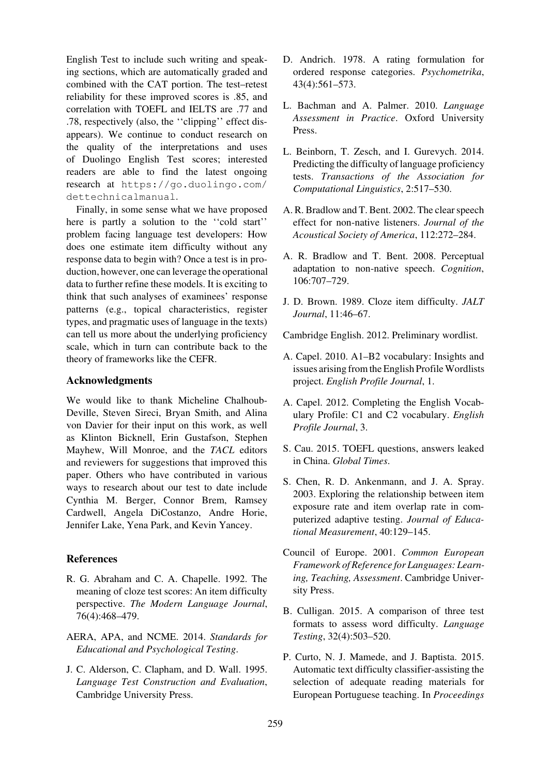English Test to include such writing and speaking sections, which are automatically graded and combined with the CAT portion. The test–retest reliability for these improved scores is .85, and correlation with TOEFL and IELTS are .77 and .78, respectively (also, the ''clipping'' effect disappears). We continue to conduct research on the quality of the interpretations and uses of Duolingo English Test scores; interested readers are able to find the latest ongoing research at [https://go.duolingo.com/](https://go.duolingo.com/dettechnicalmanual) [dettechnicalmanual](https://go.duolingo.com/dettechnicalmanual).

Finally, in some sense what we have proposed here is partly a solution to the "cold start" problem facing language test developers: How does one estimate item difficulty without any response data to begin with? Once a test is in production, however, one can leverage the operational data to further refine these models. It is exciting to think that such analyses of examinees' response patterns (e.g., topical characteristics, register types, and pragmatic uses of language in the texts) can tell us more about the underlying proficiency scale, which in turn can contribute back to the theory of frameworks like the CEFR.

# Acknowledgments

We would like to thank Micheline Chalhoub-Deville, Steven Sireci, Bryan Smith, and Alina von Davier for their input on this work, as well as Klinton Bicknell, Erin Gustafson, Stephen Mayhew, Will Monroe, and the *TACL* editors and reviewers for suggestions that improved this paper. Others who have contributed in various ways to research about our test to date include Cynthia M. Berger, Connor Brem, Ramsey Cardwell, Angela DiCostanzo, Andre Horie, Jennifer Lake, Yena Park, and Kevin Yancey.

# References

- <span id="page-12-15"></span>R. G. Abraham and C. A. Chapelle. 1992. The meaning of cloze test scores: An item difficulty perspective. *The Modern Language Journal*, 76(4):468–479.
- <span id="page-12-0"></span>AERA, APA, and NCME. 2014. *Standards for Educational and Psychological Testing*.
- <span id="page-12-6"></span>J. C. Alderson, C. Clapham, and D. Wall. 1995. *Language Test Construction and Evaluation*, Cambridge University Press.
- <span id="page-12-16"></span>D. Andrich. 1978. A rating formulation for ordered response categories. *Psychometrika*, 43(4):561–573.
- <span id="page-12-3"></span>L. Bachman and A. Palmer. 2010. *Language Assessment in Practice*. Oxford University Press.
- <span id="page-12-12"></span>L. Beinborn, T. Zesch, and I. Gurevych. 2014. Predicting the difficulty of language proficiency tests. *Transactions of the Association for Computational Linguistics*, 2:517–530.
- <span id="page-12-4"></span>A. R. Bradlow and T. Bent. 2002. The clear speech effect for non-native listeners. *Journal of the Acoustical Society of America*, 112:272–284.
- <span id="page-12-5"></span>A. R. Bradlow and T. Bent. 2008. Perceptual adaptation to non-native speech. *Cognition*, 106:707–729.
- <span id="page-12-14"></span>J. D. Brown. 1989. Cloze item difficulty. *JALT Journal*, 11:46–67.

<span id="page-12-9"></span>Cambridge English. 2012. Preliminary wordlist.

- <span id="page-12-7"></span>A. Capel. 2010. A1–B2 vocabulary: Insights and issues arising from the English ProfileWordlists project. *English Profile Journal*, 1.
- <span id="page-12-8"></span>A. Capel. 2012. Completing the English Vocabulary Profile: C1 and C2 vocabulary. *English Profile Journal*, 3.
- <span id="page-12-1"></span>S. Cau. 2015. TOEFL questions, answers leaked in China. *Global Times*.
- <span id="page-12-11"></span>S. Chen, R. D. Ankenmann, and J. A. Spray. 2003. Exploring the relationship between item exposure rate and item overlap rate in computerized adaptive testing. *Journal of Educational Measurement*, 40:129–145.
- <span id="page-12-2"></span>Council of Europe. 2001. *Common European Framework of Reference for Languages: Learning, Teaching, Assessment*. Cambridge University Press.
- <span id="page-12-10"></span>B. Culligan. 2015. A comparison of three test formats to assess word difficulty. *Language Testing*, 32(4):503–520.
- <span id="page-12-13"></span>P. Curto, N. J. Mamede, and J. Baptista. 2015. Automatic text difficulty classifier-assisting the selection of adequate reading materials for European Portuguese teaching. In *Proceedings*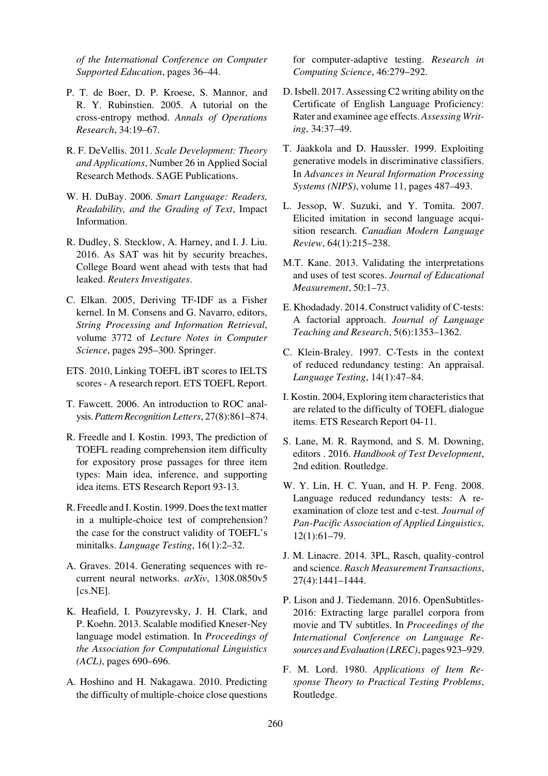*of the International Conference on Computer Supported Education*, pages 36–44.

- <span id="page-13-23"></span>P. T. de Boer, D. P. Kroese, S. Mannor, and R. Y. Rubinstien. 2005. A tutorial on the cross-entropy method. *Annals of Operations Research*, 34:19–67.
- <span id="page-13-17"></span>R. F. DeVellis. 2011. *Scale Development: Theory and Applications*, Number 26 in Applied Social Research Methods. SAGE Publications.
- <span id="page-13-12"></span>W. H. DuBay. 2006. *Smart Language: Readers, Readability, and the Grading of Text*, Impact Information.
- <span id="page-13-1"></span>R. Dudley, S. Stecklow, A. Harney, and I. J. Liu. 2016. As SAT was hit by security breaches, College Board went ahead with tests that had leaked. *Reuters Investigates*.
- <span id="page-13-9"></span>C. Elkan. 2005, Deriving TF-IDF as a Fisher kernel. In M. Consens and G. Navarro, editors, *String Processing and Information Retrieval*, volume 3772 of *Lecture Notes in Computer Science*, pages 295–300. Springer.
- <span id="page-13-16"></span>ETS. 2010, Linking TOEFL iBT scores to IELTS scores - A research report. ETS TOEFL Report.
- <span id="page-13-13"></span>T. Fawcett. 2006. An introduction to ROC analysis.*Pattern Recognition Letters*, 27(8):861–874.
- <span id="page-13-20"></span>R. Freedle and I. Kostin. 1993, The prediction of TOEFL reading comprehension item difficulty for expository prose passages for three item types: Main idea, inference, and supporting idea items. ETS Research Report 93-13.
- <span id="page-13-21"></span>R. Freedle and I. Kostin. 1999. Does the text matter in a multiple-choice test of comprehension? the case for the construct validity of TOEFL's minitalks. *Language Testing*, 16(1):2–32.
- <span id="page-13-15"></span>A. Graves. 2014. Generating sequences with recurrent neural networks. *arXiv*, 1308.0850v5 [cs.NE].
- <span id="page-13-8"></span>K. Heafield, I. Pouzyrevsky, J. H. Clark, and P. Koehn. 2013. Scalable modified Kneser-Ney language model estimation. In *Proceedings of the Association for Computational Linguistics (ACL)*, pages 690–696.
- <span id="page-13-18"></span>A. Hoshino and H. Nakagawa. 2010. Predicting the difficulty of multiple-choice close questions

for computer-adaptive testing. *Research in Computing Science*, 46:279–292.

- <span id="page-13-14"></span>D. Isbell. 2017. Assessing C2 writing ability on the Certificate of English Language Proficiency: Rater and examinee age effects. *Assessing Writing*, 34:37–49.
- <span id="page-13-10"></span>T. Jaakkola and D. Haussler. 1999. Exploiting generative models in discriminative classifiers. In *Advances in Neural Information Processing Systems (NIPS)*, volume 11, pages 487–493.
- <span id="page-13-7"></span>L. Jessop, W. Suzuki, and Y. Tomita. 2007. Elicited imitation in second language acquisition research. *Canadian Modern Language Review*, 64(1):215–238.
- <span id="page-13-4"></span>M.T. Kane. 2013. Validating the interpretations and uses of test scores. *Journal of Educational Measurement*, 50:1–73.
- <span id="page-13-6"></span>E. Khodadady. 2014. Construct validity of C-tests: A factorial approach. *Journal of Language Teaching and Research*, 5(6):1353–1362.
- <span id="page-13-5"></span>C. Klein-Braley. 1997. C-Tests in the context of reduced redundancy testing: An appraisal. *Language Testing*, 14(1):47–84.
- <span id="page-13-22"></span>I. Kostin. 2004, Exploring item characteristics that are related to the difficulty of TOEFL dialogue items. ETS Research Report 04-11.
- <span id="page-13-0"></span>S. Lane, M. R. Raymond, and S. M. Downing, editors . 2016. *Handbook of Test Development*, 2nd edition. Routledge.
- <span id="page-13-19"></span>W. Y. Lin, H. C. Yuan, and H. P. Feng. 2008. Language reduced redundancy tests: A reexamination of cloze test and c-test. *Journal of Pan-Pacific Association of Applied Linguistics*, 12(1):61–79.
- <span id="page-13-3"></span>J. M. Linacre. 2014. 3PL, Rasch, quality-control and science. *Rasch Measurement Transactions*, 27(4):1441–1444.
- <span id="page-13-11"></span>P. Lison and J. Tiedemann. 2016. OpenSubtitles-2016: Extracting large parallel corpora from movie and TV subtitles. In *Proceedings of the International Conference on Language Resourcesand Evaluation (LREC)*, pages 923–929.
- <span id="page-13-2"></span>F. M. Lord. 1980. *Applications of Item Response Theory to Practical Testing Problems*, Routledge.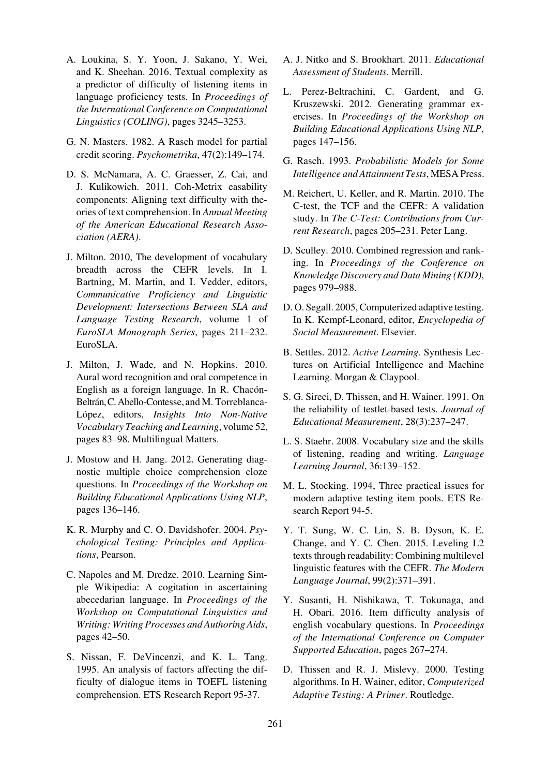- <span id="page-14-15"></span>A. Loukina, S. Y. Yoon, J. Sakano, Y. Wei, and K. Sheehan. 2016. Textual complexity as a predictor of difficulty of listening items in language proficiency tests. In *Proceedings of the International Conference on Computational Linguistics (COLING)*, pages 3245–3253.
- <span id="page-14-21"></span>G. N. Masters. 1982. A Rasch model for partial credit scoring. *Psychometrika*, 47(2):149–174.
- <span id="page-14-20"></span>D. S. McNamara, A. C. Graesser, Z. Cai, and J. Kulikowich. 2011. Coh-Metrix easability components: Aligning text difficulty with theories of text comprehension. In *Annual Meeting of the American Educational Research Association (AERA)*.
- <span id="page-14-4"></span>J. Milton. 2010, The development of vocabulary breadth across the CEFR levels. In I. Bartning, M. Martin, and I. Vedder, editors, *Communicative Proficiency and Linguistic Development: Intersections Between SLA and Language Testing Research*, volume 1 of *EuroSLA Monograph Series*, pages 211–232. EuroSLA.
- <span id="page-14-6"></span>J. Milton, J. Wade, and N. Hopkins. 2010. Aural word recognition and oral competence in English as a foreign language. In R. Chacón-Beltrán, C. Abello-Contesse, and M. Torreblanca-López, editors, *Insights Into Non-Native Vocabulary Teaching and Learning*, volume 52, pages 83–98. Multilingual Matters.
- <span id="page-14-13"></span>J. Mostow and H. Jang. 2012. Generating diagnostic multiple choice comprehension cloze questions. In *Proceedings of the Workshop on Building Educational Applications Using NLP*, pages 136–146.
- <span id="page-14-9"></span>K. R. Murphy and C. O. Davidshofer. 2004. *Psychological Testing: Principles and Applications*, Pearson.
- <span id="page-14-17"></span>C. Napoles and M. Dredze. 2010. Learning Simple Wikipedia: A cogitation in ascertaining abecedarian language. In *Proceedings of the Workshop on Computational Linguistics and Writing: Writing Processes and Authoring Aids*, pages 42–50.
- <span id="page-14-19"></span>S. Nissan, F. DeVincenzi, and K. L. Tang. 1995. An analysis of factors affecting the difficulty of dialogue items in TOEFL listening comprehension. ETS Research Report 95-37.
- <span id="page-14-11"></span>A. J. Nitko and S. Brookhart. 2011. *Educational Assessment of Students*. Merrill.
- <span id="page-14-16"></span>L. Perez-Beltrachini, C. Gardent, and G. Kruszewski. 2012. Generating grammar exercises. In *Proceedings of the Workshop on Building Educational Applications Using NLP*, pages 147–156.
- <span id="page-14-0"></span>G. Rasch. 1993. *Probabilistic Models for Some Intelligence and Attainment Tests*, MESA Press.
- <span id="page-14-7"></span>M. Reichert, U. Keller, and R. Martin. 2010. The C-test, the TCF and the CEFR: A validation study. In *The C-Test: Contributions from Current Research*, pages 205–231. Peter Lang.
- <span id="page-14-8"></span>D. Sculley. 2010. Combined regression and ranking. In *Proceedings of the Conference on Knowledge Discovery and Data Mining (KDD)*, pages 979–988.
- <span id="page-14-3"></span>D. O. Segall. 2005, Computerized adaptive testing. In K. Kempf-Leonard, editor, *Encyclopedia of Social Measurement*. Elsevier.
- <span id="page-14-2"></span>B. Settles. 2012. *Active Learning*. Synthesis Lectures on Artificial Intelligence and Machine Learning. Morgan & Claypool.
- <span id="page-14-10"></span>S. G. Sireci, D. Thissen, and H. Wainer. 1991. On the reliability of testlet-based tests. *Journal of Educational Measurement*, 28(3):237–247.
- <span id="page-14-5"></span>L. S. Staehr. 2008. Vocabulary size and the skills of listening, reading and writing. *Language Learning Journal*, 36:139–152.
- <span id="page-14-12"></span>M. L. Stocking. 1994, Three practical issues for modern adaptive testing item pools. ETS Research Report 94-5.
- <span id="page-14-18"></span>Y. T. Sung, W. C. Lin, S. B. Dyson, K. E. Change, and Y. C. Chen. 2015. Leveling L2 texts through readability: Combining multilevel linguistic features with the CEFR. *The Modern Language Journal*, 99(2):371–391.
- <span id="page-14-14"></span>Y. Susanti, H. Nishikawa, T. Tokunaga, and H. Obari. 2016. Item difficulty analysis of english vocabulary questions. In *Proceedings of the International Conference on Computer Supported Education*, pages 267–274.
- <span id="page-14-1"></span>D. Thissen and R. J. Mislevy. 2000. Testing algorithms. In H. Wainer, editor, *Computerized Adaptive Testing: A Primer*. Routledge.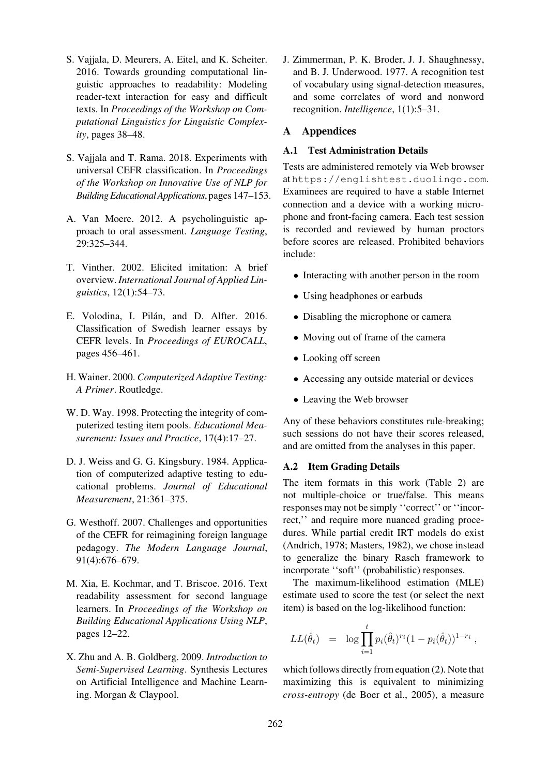- <span id="page-15-10"></span>S. Vajjala, D. Meurers, A. Eitel, and K. Scheiter. 2016. Towards grounding computational linguistic approaches to readability: Modeling reader-text interaction for easy and difficult texts. In *Proceedings of the Workshop on Computational Linguistics for Linguistic Complexity*, pages 38–48.
- <span id="page-15-12"></span>S. Vajjala and T. Rama. 2018. Experiments with universal CEFR classification. In *Proceedings of the Workshop on Innovative Use of NLP for BuildingEducationalApplications*, pages 147–153.
- <span id="page-15-5"></span>A. Van Moere. 2012. A psycholinguistic approach to oral assessment. *Language Testing*, 29:325–344.
- <span id="page-15-4"></span>T. Vinther. 2002. Elicited imitation: A brief overview. *International Journal of Applied Linguistics*, 12(1):54–73.
- <span id="page-15-11"></span>E. Volodina, I. Pilán, and D. Alfter. 2016. Classification of Swedish learner essays by CEFR levels. In *Proceedings of EUROCALL*, pages 456–461.
- <span id="page-15-0"></span>H. Wainer. 2000. *Computerized Adaptive Testing: A Primer*. Routledge.
- <span id="page-15-1"></span>W. D. Way. 1998. Protecting the integrity of computerized testing item pools. *Educational Measurement: Issues and Practice*, 17(4):17–27.
- <span id="page-15-2"></span>D. J. Weiss and G. G. Kingsbury. 1984. Application of computerized adaptive testing to educational problems. *Journal of Educational Measurement*, 21:361–375.
- <span id="page-15-6"></span>G. Westhoff. 2007. Challenges and opportunities of the CEFR for reimagining foreign language pedagogy. *The Modern Language Journal*, 91(4):676–679.
- <span id="page-15-13"></span>M. Xia, E. Kochmar, and T. Briscoe. 2016. Text readability assessment for second language learners. In *Proceedings of the Workshop on Building Educational Applications Using NLP*, pages 12–22.
- <span id="page-15-7"></span>X. Zhu and A. B. Goldberg. 2009. *Introduction to Semi-Supervised Learning*. Synthesis Lectures on Artificial Intelligence and Machine Learning. Morgan & Claypool.

<span id="page-15-3"></span>J. Zimmerman, P. K. Broder, J. J. Shaughnessy, and B. J. Underwood. 1977. A recognition test of vocabulary using signal-detection measures, and some correlates of word and nonword recognition. *Intelligence*, 1(1):5–31.

# <span id="page-15-8"></span>A Appendices

# A.1 Test Administration Details

Tests are administered remotely via Web browser at<https://englishtest.duolingo.com>. Examinees are required to have a stable Internet connection and a device with a working microphone and front-facing camera. Each test session is recorded and reviewed by human proctors before scores are released. Prohibited behaviors include:

- Interacting with another person in the room
- Using headphones or earbuds
- Disabling the microphone or camera
- Moving out of frame of the camera
- Looking off screen
- Accessing any outside material or devices
- Leaving the Web browser

Any of these behaviors constitutes rule-breaking; such sessions do not have their scores released, and are omitted from the analyses in this paper.

#### <span id="page-15-9"></span>A.2 Item Grading Details

The item formats in this work [\(Table 2\)](#page-3-1) are not multiple-choice or true/false. This means responses may not be simply ''correct'' or ''incorrect,'' and require more nuanced grading procedures. While partial credit IRT models do exist [\(Andrich](#page-12-16), [1978](#page-12-16); [Masters, 1982](#page-14-21)), we chose instead to generalize the binary Rasch framework to incorporate ''soft'' (probabilistic) responses.

The maximum-likelihood estimation (MLE) estimate used to score the test (or select the next item) is based on the log-likelihood function:

$$
LL(\hat{\theta}_t) = \log \prod_{i=1}^t p_i(\hat{\theta}_t)^{r_i} (1 - p_i(\hat{\theta}_t))^{1 - r_i},
$$

which follows directly from equation [\(2\)](#page-1-4). Note that maximizing this is equivalent to minimizing *cross-entropy* [\(de Boer et al., 2005\)](#page-13-23), a measure